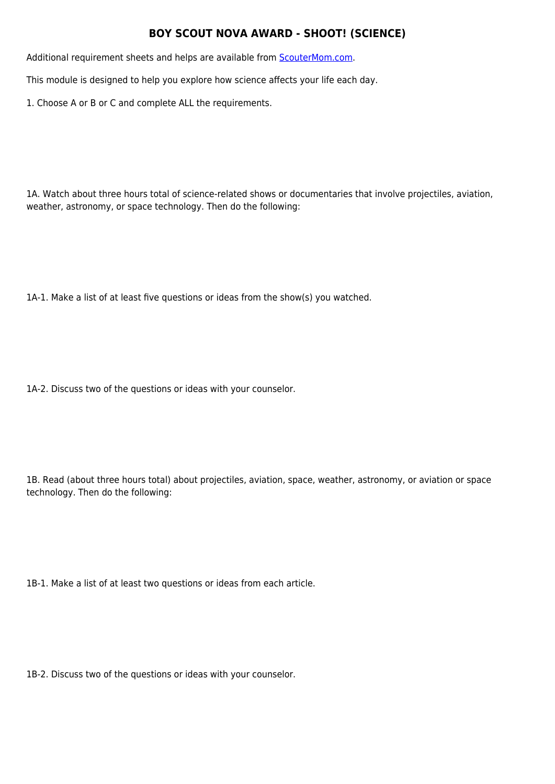## **BOY SCOUT NOVA AWARD - SHOOT! (SCIENCE)**

Additional requirement sheets and helps are available from **[ScouterMom.com](http://scoutermom.com).** 

This module is designed to help you explore how science affects your life each day.

1. Choose A or B or C and complete ALL the requirements.

1A. Watch about three hours total of science-related shows or documentaries that involve projectiles, aviation, weather, astronomy, or space technology. Then do the following:

1A-1. Make a list of at least five questions or ideas from the show(s) you watched.

1A-2. Discuss two of the questions or ideas with your counselor.

1B. Read (about three hours total) about projectiles, aviation, space, weather, astronomy, or aviation or space technology. Then do the following:

1B-1. Make a list of at least two questions or ideas from each article.

1B-2. Discuss two of the questions or ideas with your counselor.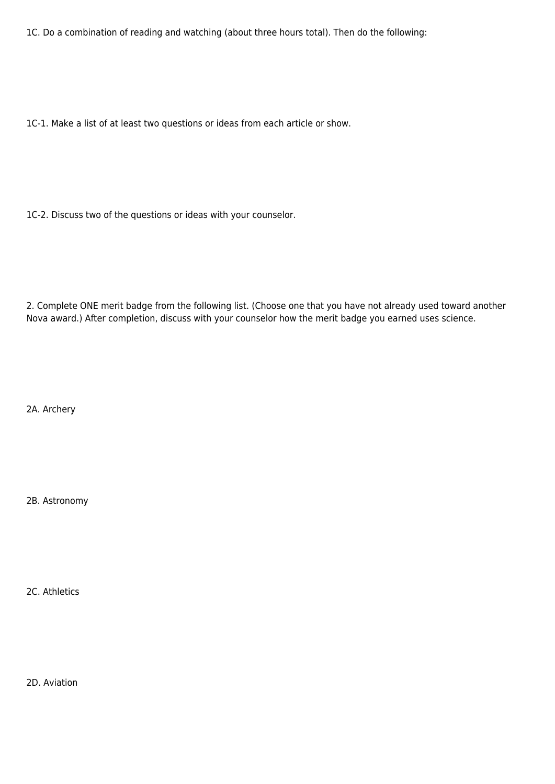1C. Do a combination of reading and watching (about three hours total). Then do the following:

1C-1. Make a list of at least two questions or ideas from each article or show.

1C-2. Discuss two of the questions or ideas with your counselor.

2. Complete ONE merit badge from the following list. (Choose one that you have not already used toward another Nova award.) After completion, discuss with your counselor how the merit badge you earned uses science.

2A. Archery

2B. Astronomy

2C. Athletics

2D. Aviation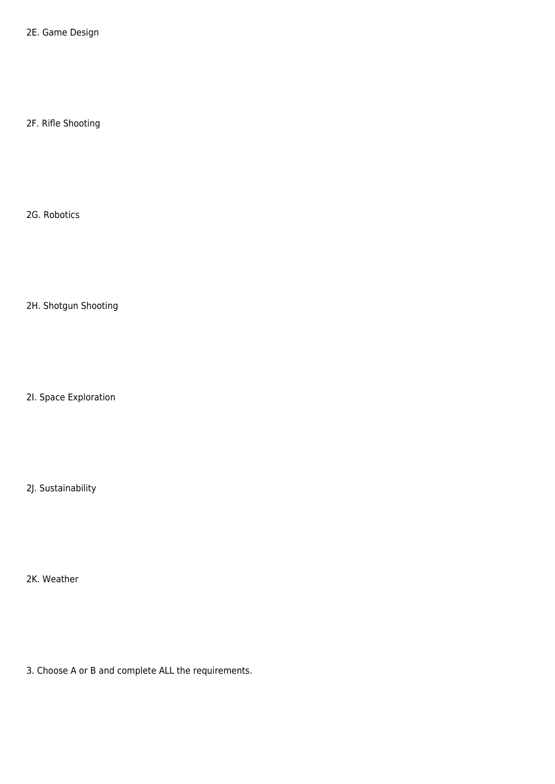2E. Game Design

2F. Rifle Shooting

2G. Robotics

2H. Shotgun Shooting

2I. Space Exploration

2J. Sustainability

2K. Weather

3. Choose A or B and complete ALL the requirements.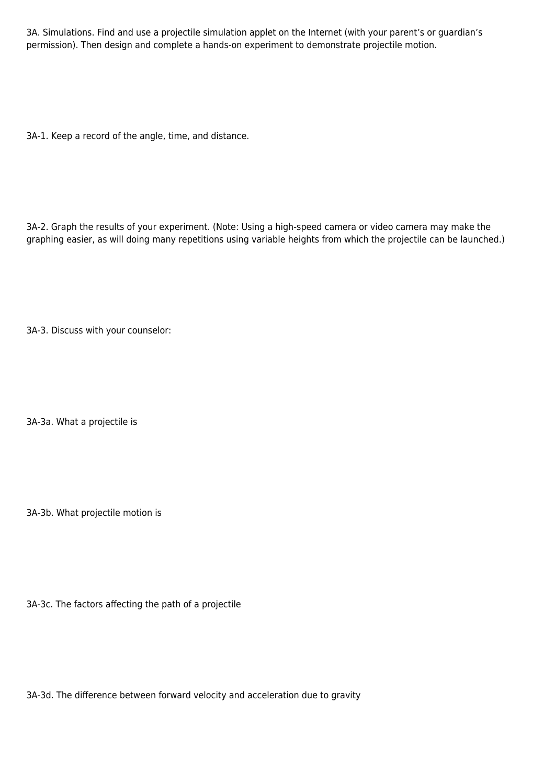3A. Simulations. Find and use a projectile simulation applet on the Internet (with your parent's or guardian's permission). Then design and complete a hands-on experiment to demonstrate projectile motion.

3A-1. Keep a record of the angle, time, and distance.

3A-2. Graph the results of your experiment. (Note: Using a high-speed camera or video camera may make the graphing easier, as will doing many repetitions using variable heights from which the projectile can be launched.)

3A-3. Discuss with your counselor:

3A-3a. What a projectile is

3A-3b. What projectile motion is

3A-3c. The factors affecting the path of a projectile

3A-3d. The difference between forward velocity and acceleration due to gravity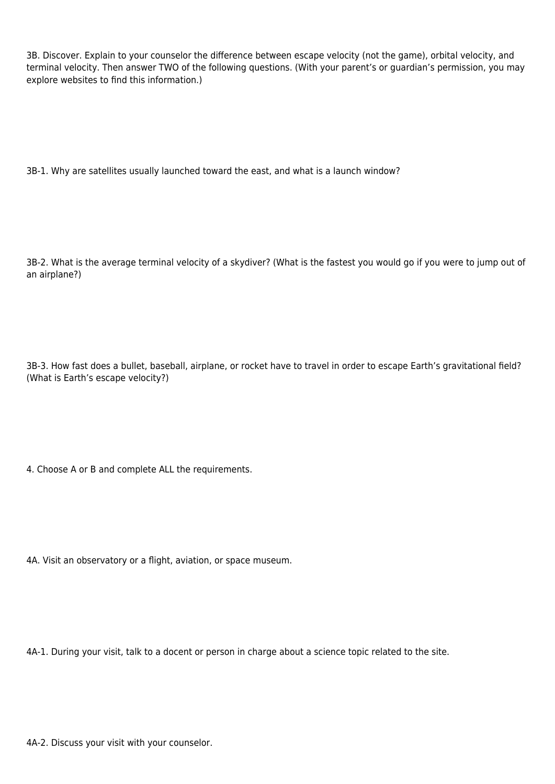3B. Discover. Explain to your counselor the difference between escape velocity (not the game), orbital velocity, and terminal velocity. Then answer TWO of the following questions. (With your parent's or guardian's permission, you may explore websites to find this information.)

3B-1. Why are satellites usually launched toward the east, and what is a launch window?

3B-2. What is the average terminal velocity of a skydiver? (What is the fastest you would go if you were to jump out of an airplane?)

3B-3. How fast does a bullet, baseball, airplane, or rocket have to travel in order to escape Earth's gravitational field? (What is Earth's escape velocity?)

4. Choose A or B and complete ALL the requirements.

4A. Visit an observatory or a flight, aviation, or space museum.

4A-1. During your visit, talk to a docent or person in charge about a science topic related to the site.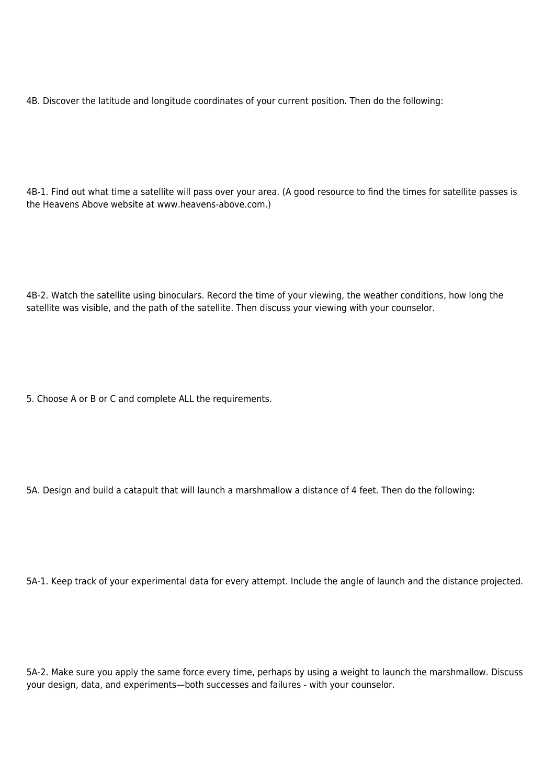4B. Discover the latitude and longitude coordinates of your current position. Then do the following:

4B-1. Find out what time a satellite will pass over your area. (A good resource to find the times for satellite passes is the Heavens Above website at www.heavens-above.com.)

4B-2. Watch the satellite using binoculars. Record the time of your viewing, the weather conditions, how long the satellite was visible, and the path of the satellite. Then discuss your viewing with your counselor.

5. Choose A or B or C and complete ALL the requirements.

5A. Design and build a catapult that will launch a marshmallow a distance of 4 feet. Then do the following:

5A-1. Keep track of your experimental data for every attempt. Include the angle of launch and the distance projected.

5A-2. Make sure you apply the same force every time, perhaps by using a weight to launch the marshmallow. Discuss your design, data, and experiments—both successes and failures - with your counselor.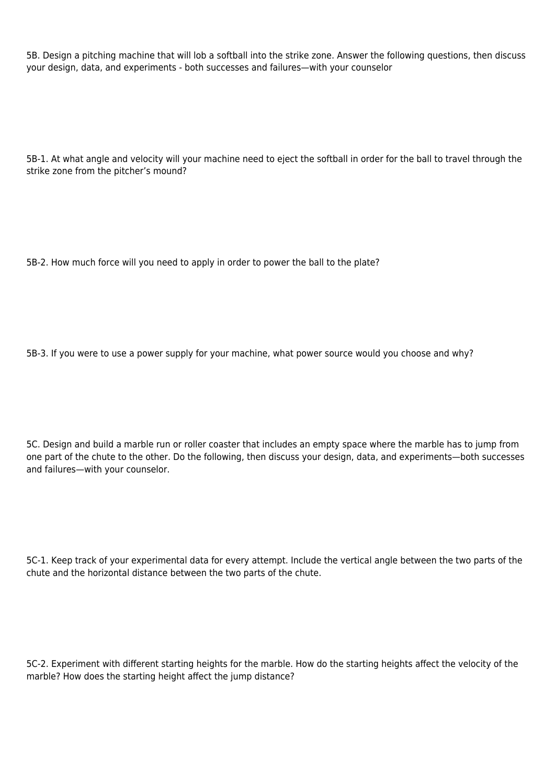5B. Design a pitching machine that will lob a softball into the strike zone. Answer the following questions, then discuss your design, data, and experiments - both successes and failures—with your counselor

5B-1. At what angle and velocity will your machine need to eject the softball in order for the ball to travel through the strike zone from the pitcher's mound?

5B-2. How much force will you need to apply in order to power the ball to the plate?

5B-3. If you were to use a power supply for your machine, what power source would you choose and why?

5C. Design and build a marble run or roller coaster that includes an empty space where the marble has to jump from one part of the chute to the other. Do the following, then discuss your design, data, and experiments—both successes and failures—with your counselor.

5C-1. Keep track of your experimental data for every attempt. Include the vertical angle between the two parts of the chute and the horizontal distance between the two parts of the chute.

5C-2. Experiment with different starting heights for the marble. How do the starting heights affect the velocity of the marble? How does the starting height affect the jump distance?